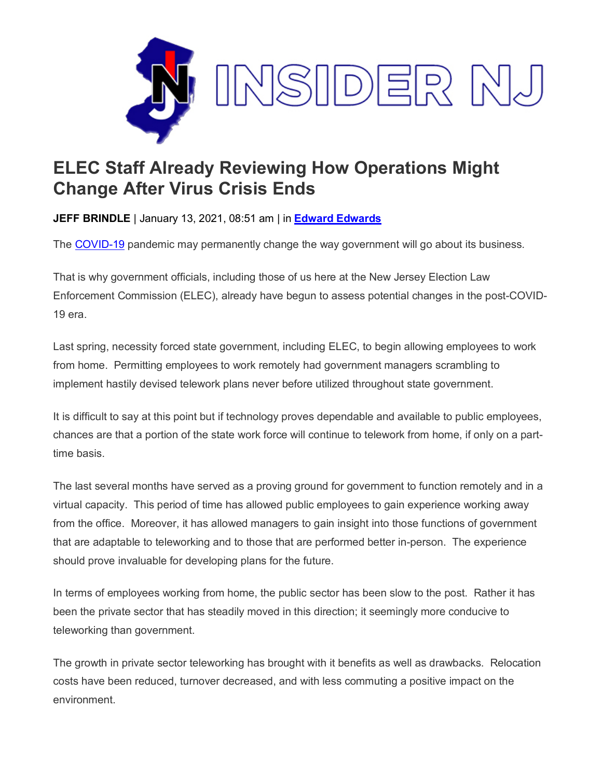

## **ELEC Staff Already Reviewing How Operations Might Change After Virus Crisis Ends**

**JEFF BRINDLE** | January 13, 2021, 08:51 am | in **[Edward Edwards](https://www.insidernj.com/category/edward-edwards/)**

The [COVID-19](https://covid19.nj.gov/) pandemic may permanently change the way government will go about its business.

That is why government officials, including those of us here at the New Jersey Election Law Enforcement Commission (ELEC), already have begun to assess potential changes in the post-COVID-19 era.

Last spring, necessity forced state government, including ELEC, to begin allowing employees to work from home. Permitting employees to work remotely had government managers scrambling to implement hastily devised telework plans never before utilized throughout state government.

It is difficult to say at this point but if technology proves dependable and available to public employees, chances are that a portion of the state work force will continue to telework from home, if only on a parttime basis.

The last several months have served as a proving ground for government to function remotely and in a virtual capacity. This period of time has allowed public employees to gain experience working away from the office. Moreover, it has allowed managers to gain insight into those functions of government that are adaptable to teleworking and to those that are performed better in-person. The experience should prove invaluable for developing plans for the future.

In terms of employees working from home, the public sector has been slow to the post. Rather it has been the private sector that has steadily moved in this direction; it seemingly more conducive to teleworking than government.

The growth in private sector teleworking has brought with it benefits as well as drawbacks. Relocation costs have been reduced, turnover decreased, and with less commuting a positive impact on the environment.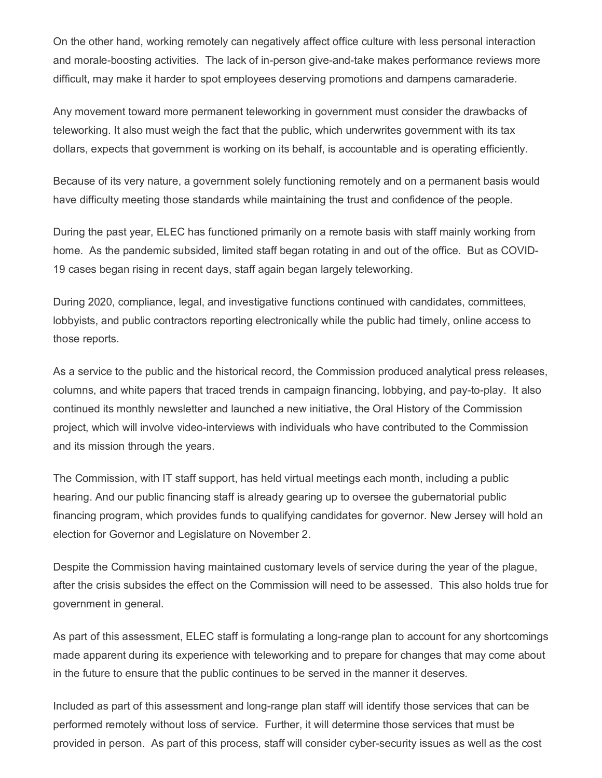On the other hand, working remotely can negatively affect office culture with less personal interaction and morale-boosting activities. The lack of in-person give-and-take makes performance reviews more difficult, may make it harder to spot employees deserving promotions and dampens camaraderie.

Any movement toward more permanent teleworking in government must consider the drawbacks of teleworking. It also must weigh the fact that the public, which underwrites government with its tax dollars, expects that government is working on its behalf, is accountable and is operating efficiently.

Because of its very nature, a government solely functioning remotely and on a permanent basis would have difficulty meeting those standards while maintaining the trust and confidence of the people.

During the past year, ELEC has functioned primarily on a remote basis with staff mainly working from home. As the pandemic subsided, limited staff began rotating in and out of the office. But as COVID-19 cases began rising in recent days, staff again began largely teleworking.

During 2020, compliance, legal, and investigative functions continued with candidates, committees, lobbyists, and public contractors reporting electronically while the public had timely, online access to those reports.

As a service to the public and the historical record, the Commission produced analytical press releases, columns, and white papers that traced trends in campaign financing, lobbying, and pay-to-play. It also continued its monthly newsletter and launched a new initiative, the Oral History of the Commission project, which will involve video-interviews with individuals who have contributed to the Commission and its mission through the years.

The Commission, with IT staff support, has held virtual meetings each month, including a public hearing. And our public financing staff is already gearing up to oversee the gubernatorial public financing program, which provides funds to qualifying candidates for governor. New Jersey will hold an election for Governor and Legislature on November 2.

Despite the Commission having maintained customary levels of service during the year of the plague, after the crisis subsides the effect on the Commission will need to be assessed. This also holds true for government in general.

As part of this assessment, ELEC staff is formulating a long-range plan to account for any shortcomings made apparent during its experience with teleworking and to prepare for changes that may come about in the future to ensure that the public continues to be served in the manner it deserves.

Included as part of this assessment and long-range plan staff will identify those services that can be performed remotely without loss of service. Further, it will determine those services that must be provided in person. As part of this process, staff will consider cyber-security issues as well as the cost